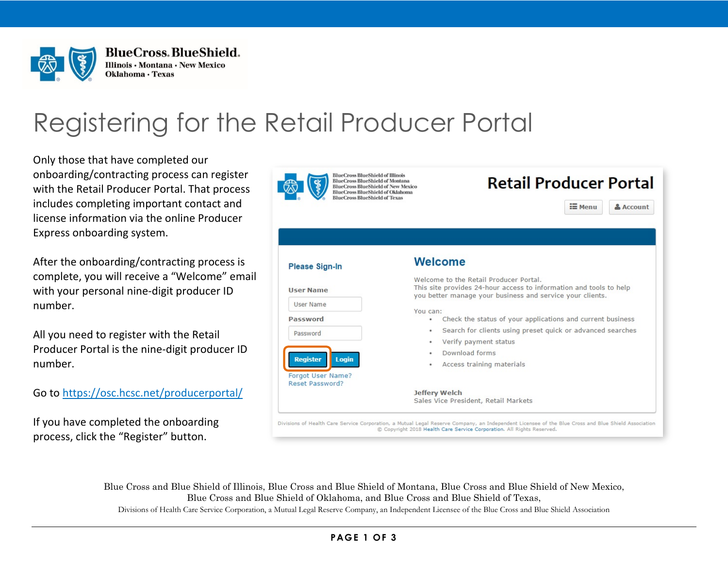

**BlueCross, BlueShield.** Illinois · Montana · New Mexico Oklahoma · Texas

# Registering for the Retail Producer Portal

Only those that have completed our onboarding/contracting process can register with the Retail Producer Portal. That process includes completing important contact and license information via the online Producer Express onboarding system.

After the onboarding/contracting process is complete, you will receive a "Welcome" email with your personal nine-digit producer ID number.

All you need to register with the Retail Producer Portal is the nine-digit producer ID number.

Go to<https://osc.hcsc.net/producerportal/>

If you have completed the onboarding process, click the "Register" button.



Blue Cross and Blue Shield of Illinois, Blue Cross and Blue Shield of Montana, Blue Cross and Blue Shield of New Mexico, Blue Cross and Blue Shield of Oklahoma, and Blue Cross and Blue Shield of Texas,

Divisions of Health Care Service Corporation, a Mutual Legal Reserve Company, an Independent Licensee of the Blue Cross and Blue Shield Association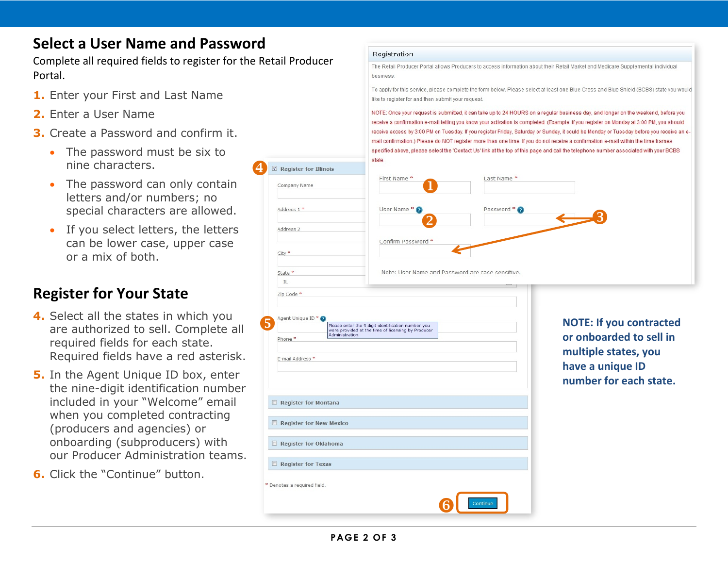## **Select a User Name and Password**

Complete all required fields to register for the Retail Producer Portal.

 $\bigodot$ 

Address 1 \*

Address 2

City \*

State \*

 $\mathbb{IL}$ 

- **1.** Enter your First and Last Name
- **2.** Enter a User Name
- **3.** Create a Password and confirm it.
	- The password must be six to nine characters.
	- The password can only contain letters and/or numbers; no special characters are allowed.
	- If you select letters, the letters can be lower case, upper case or a mix of both.

## **Register for Your State**

- **4.** Select all the states in which you are authorized to sell. Complete all required fields for each state. Required fields have a red asterisk.
- **5.** In the Agent Unique ID box, enter the nine-digit identification number included in your "Welcome" email when you completed contracting (producers and agencies) or onboarding (subproducers) with our Producer Administration teams.
- **6.** Click the "Continue" button.

#### Registration

The Retail Producer Portal allows Producers to access information about their Retail Market and Medicare Supplemental individual business

To apply for this service, please complete the form below. Please select at least one Blue Cross and Blue Shield (BCBS) state you would like to register for and then submit your request.

NOTE: Once your request is submitted, it can take up to 24 HOURS on a regular business day, and longer on the weekend, before you receive a confirmation e-mail letting you know your activation is completed. (Example: If you register on Monday at 3:00 PM, you should receive access by 3:00 PM on Tuesday. If you register Friday, Saturday or Sunday, it could be Monday or Tuesday before you receive an email confirmation.) Please do NOT register more than one time. If you do not receive a confirmation e-mail within the time frames specified above, please select the 'Contact Us' link at the top of this page and call the telephone number associated with your BCBS state.





**NOTE: If you contracted or onboarded to sell in multiple states, you have a unique ID number for each state.**